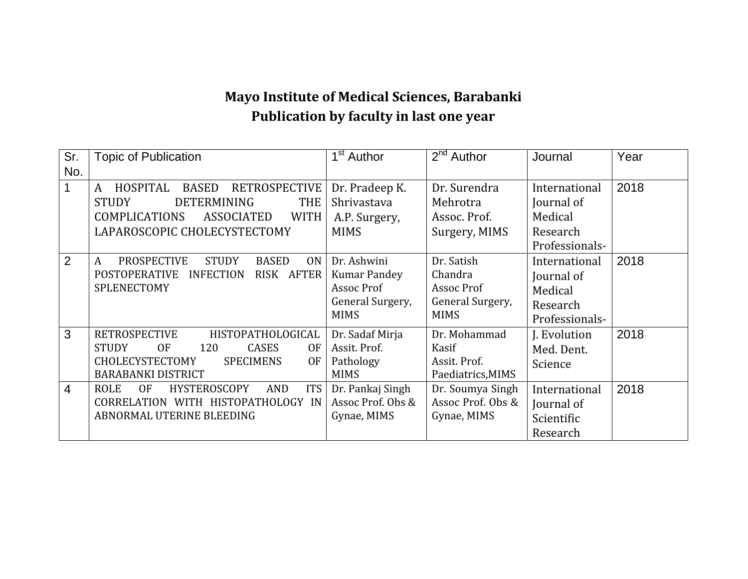## **Mayo Institute of Medical Sciences, Barabanki Publication by faculty in last one year**

| Sr.            | <b>Topic of Publication</b>                                               | 1 <sup>st</sup> Author | $2nd$ Author      | Journal        | Year |
|----------------|---------------------------------------------------------------------------|------------------------|-------------------|----------------|------|
| No.            |                                                                           |                        |                   |                |      |
|                | HOSPITAL<br><b>BASED</b><br><b>RETROSPECTIVE</b><br>A                     | Dr. Pradeep K.         | Dr. Surendra      | International  | 2018 |
|                | <b>DETERMINING</b><br><b>THE</b><br><b>STUDY</b>                          | Shrivastava            | Mehrotra          | Journal of     |      |
|                | <b>COMPLICATIONS</b><br><b>WITH</b><br>ASSOCIATED                         | A.P. Surgery,          | Assoc. Prof.      | Medical        |      |
|                | LAPAROSCOPIC CHOLECYSTECTOMY                                              | <b>MIMS</b>            | Surgery, MIMS     | Research       |      |
|                |                                                                           |                        |                   | Professionals- |      |
| $\overline{2}$ | <b>PROSPECTIVE</b><br><b>STUDY</b><br><b>BASED</b><br>0 <sub>N</sub><br>A | Dr. Ashwini            | Dr. Satish        | International  | 2018 |
|                | <b>POSTOPERATIVE</b><br><b>INFECTION</b><br>RISK AFTER                    | <b>Kumar Pandey</b>    | Chandra           | Journal of     |      |
|                | SPLENECTOMY                                                               | Assoc Prof             | Assoc Prof        | Medical        |      |
|                |                                                                           | General Surgery,       | General Surgery,  | Research       |      |
|                |                                                                           | <b>MIMS</b>            | <b>MIMS</b>       | Professionals- |      |
| 3              | <b>RETROSPECTIVE</b><br>HISTOPATHOLOGICAL                                 | Dr. Sadaf Mirja        | Dr. Mohammad      | J. Evolution   | 2018 |
|                | <b>CASES</b><br>0F<br><b>STUDY</b><br>120<br><b>OF</b>                    | Assit. Prof.           | Kasif             | Med. Dent.     |      |
|                | CHOLECYSTECTOMY<br><b>SPECIMENS</b><br><b>OF</b>                          | Pathology              | Assit. Prof.      | Science        |      |
|                | <b>BARABANKI DISTRICT</b>                                                 | <b>MIMS</b>            | Paediatrics, MIMS |                |      |
| $\overline{4}$ | <b>ITS</b><br><b>OF</b><br><b>HYSTEROSCOPY</b><br><b>ROLE</b><br>AND      | Dr. Pankaj Singh       | Dr. Soumya Singh  | International  | 2018 |
|                | CORRELATION WITH HISTOPATHOLOGY IN                                        | Assoc Prof. Obs &      | Assoc Prof. Obs & | Journal of     |      |
|                | ABNORMAL UTERINE BLEEDING                                                 | Gynae, MIMS            | Gynae, MIMS       | Scientific     |      |
|                |                                                                           |                        |                   | Research       |      |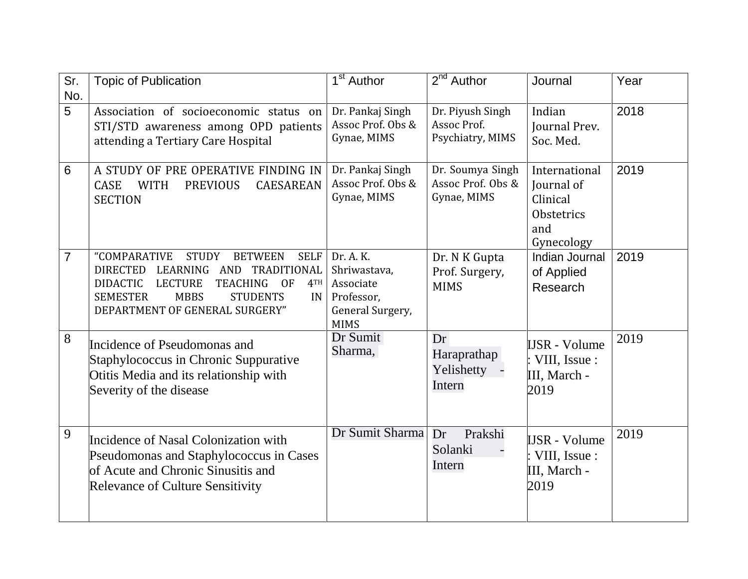| Sr.            | <b>Topic of Publication</b>                                                                                                                                                                                                                                                 | $\overline{1}^{\text{st}}$ Author                                                       | $2^{nd}$ Author                                      | Journal                                                                    | Year |
|----------------|-----------------------------------------------------------------------------------------------------------------------------------------------------------------------------------------------------------------------------------------------------------------------------|-----------------------------------------------------------------------------------------|------------------------------------------------------|----------------------------------------------------------------------------|------|
| No.            |                                                                                                                                                                                                                                                                             |                                                                                         |                                                      |                                                                            |      |
| 5              | Association of socioeconomic status on<br>STI/STD awareness among OPD patients<br>attending a Tertiary Care Hospital                                                                                                                                                        | Dr. Pankaj Singh<br>Assoc Prof. Obs &<br>Gynae, MIMS                                    | Dr. Piyush Singh<br>Assoc Prof.<br>Psychiatry, MIMS  | Indian<br>Journal Prev.<br>Soc. Med.                                       | 2018 |
| 6              | A STUDY OF PRE OPERATIVE FINDING IN<br>CASE<br><b>WITH</b><br><b>PREVIOUS</b><br><b>CAESAREAN</b><br><b>SECTION</b>                                                                                                                                                         | Dr. Pankaj Singh<br>Assoc Prof. Obs &<br>Gynae, MIMS                                    | Dr. Soumya Singh<br>Assoc Prof. Obs &<br>Gynae, MIMS | International<br>Journal of<br>Clinical<br>Obstetrics<br>and<br>Gynecology | 2019 |
| $\overline{7}$ | "COMPARATIVE<br><b>STUDY</b><br><b>BETWEEN</b><br><b>SELF</b><br>DIRECTED LEARNING AND TRADITIONAL<br><b>DIDACTIC</b><br><b>LECTURE</b><br><b>TEACHING</b><br><b>OF</b><br>4TH<br><b>SEMESTER</b><br><b>MBBS</b><br><b>STUDENTS</b><br>IN<br>DEPARTMENT OF GENERAL SURGERY" | Dr. A. K.<br>Shriwastava,<br>Associate<br>Professor,<br>General Surgery,<br><b>MIMS</b> | Dr. N K Gupta<br>Prof. Surgery,<br><b>MIMS</b>       | Indian Journal<br>of Applied<br>Research                                   | 2019 |
| 8              | Incidence of Pseudomonas and<br>Staphylococcus in Chronic Suppurative<br>Otitis Media and its relationship with<br>Severity of the disease                                                                                                                                  | Dr Sumit<br>Sharma,                                                                     | Dr<br>Haraprathap<br>Yelishetty -<br>Intern          | <b>IJSR</b> - Volume<br>VIII, Issue :<br>III, March -<br>2019              | 2019 |
| 9              | Incidence of Nasal Colonization with<br>Pseudomonas and Staphylococcus in Cases<br>of Acute and Chronic Sinusitis and<br><b>Relevance of Culture Sensitivity</b>                                                                                                            | Dr Sumit Sharma                                                                         | Dr<br>Prakshi<br>Solanki<br>Intern                   | <b>IJSR</b> - Volume<br>VIII, Issue :<br>III, March -<br>2019              | 2019 |